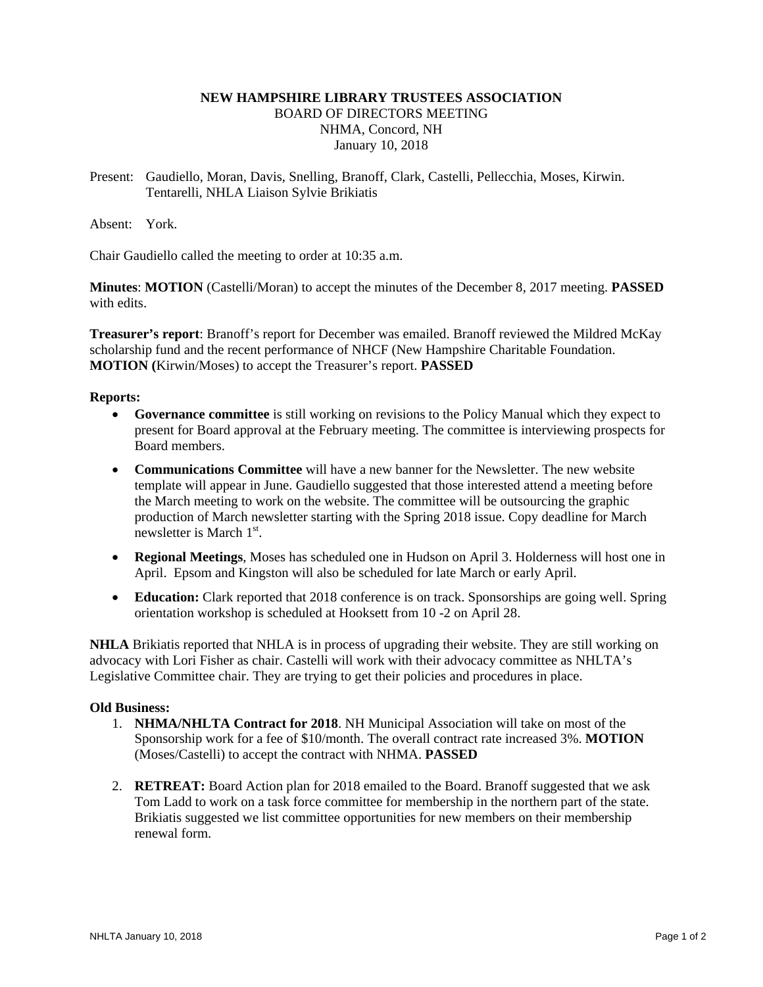# **NEW HAMPSHIRE LIBRARY TRUSTEES ASSOCIATION**  BOARD OF DIRECTORS MEETING NHMA, Concord, NH January 10, 2018

Present: Gaudiello, Moran, Davis, Snelling, Branoff, Clark, Castelli, Pellecchia, Moses, Kirwin. Tentarelli, NHLA Liaison Sylvie Brikiatis

Absent: York.

Chair Gaudiello called the meeting to order at 10:35 a.m.

**Minutes**: **MOTION** (Castelli/Moran) to accept the minutes of the December 8, 2017 meeting. **PASSED** with edits.

**Treasurer's report**: Branoff's report for December was emailed. Branoff reviewed the Mildred McKay scholarship fund and the recent performance of NHCF (New Hampshire Charitable Foundation. **MOTION (**Kirwin/Moses) to accept the Treasurer's report. **PASSED**

## **Reports:**

- **Governance committee** is still working on revisions to the Policy Manual which they expect to present for Board approval at the February meeting. The committee is interviewing prospects for Board members.
- **Communications Committee** will have a new banner for the Newsletter. The new website template will appear in June. Gaudiello suggested that those interested attend a meeting before the March meeting to work on the website. The committee will be outsourcing the graphic production of March newsletter starting with the Spring 2018 issue. Copy deadline for March newsletter is March  $1<sup>st</sup>$ .
- **Regional Meetings**, Moses has scheduled one in Hudson on April 3. Holderness will host one in April. Epsom and Kingston will also be scheduled for late March or early April.
- **Education:** Clark reported that 2018 conference is on track. Sponsorships are going well. Spring orientation workshop is scheduled at Hooksett from 10 -2 on April 28.

**NHLA** Brikiatis reported that NHLA is in process of upgrading their website. They are still working on advocacy with Lori Fisher as chair. Castelli will work with their advocacy committee as NHLTA's Legislative Committee chair. They are trying to get their policies and procedures in place.

#### **Old Business:**

- 1. **NHMA/NHLTA Contract for 2018**. NH Municipal Association will take on most of the Sponsorship work for a fee of \$10/month. The overall contract rate increased 3%. **MOTION** (Moses/Castelli) to accept the contract with NHMA. **PASSED**
- 2. **RETREAT:** Board Action plan for 2018 emailed to the Board. Branoff suggested that we ask Tom Ladd to work on a task force committee for membership in the northern part of the state. Brikiatis suggested we list committee opportunities for new members on their membership renewal form.